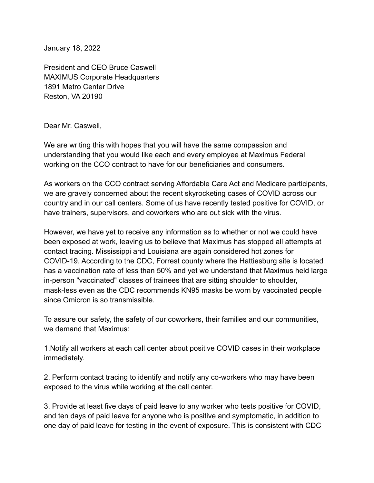January 18, 2022

President and CEO Bruce Caswell MAXIMUS Corporate Headquarters 1891 Metro Center Drive Reston, VA 20190

Dear Mr. Caswell,

We are writing this with hopes that you will have the same compassion and understanding that you would like each and every employee at Maximus Federal working on the CCO contract to have for our beneficiaries and consumers.

As workers on the CCO contract serving Affordable Care Act and Medicare participants, we are gravely concerned about the recent skyrocketing cases of COVID across our country and in our call centers. Some of us have recently tested positive for COVID, or have trainers, supervisors, and coworkers who are out sick with the virus.

However, we have yet to receive any information as to whether or not we could have been exposed at work, leaving us to believe that Maximus has stopped all attempts at contact tracing. Mississippi and Louisiana are again considered hot zones for COVID-19. According to the CDC, Forrest county where the Hattiesburg site is located has a vaccination rate of less than 50% and yet we understand that Maximus held large in-person "vaccinated" classes of trainees that are sitting shoulder to shoulder, mask-less even as the CDC recommends KN95 masks be worn by vaccinated people since Omicron is so transmissible.

To assure our safety, the safety of our coworkers, their families and our communities, we demand that Maximus:

1.Notify all workers at each call center about positive COVID cases in their workplace immediately.

2. Perform contact tracing to identify and notify any co-workers who may have been exposed to the virus while working at the call center.

3. Provide at least five days of paid leave to any worker who tests positive for COVID, and ten days of paid leave for anyone who is positive and symptomatic, in addition to one day of paid leave for testing in the event of exposure. This is consistent with CDC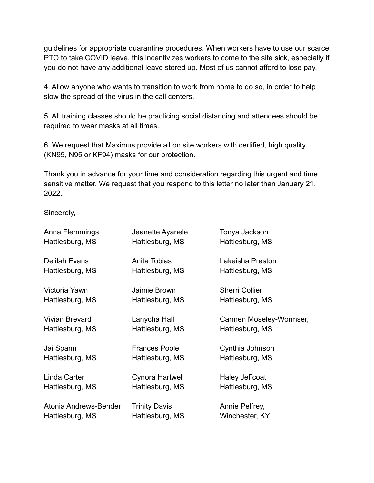guidelines for appropriate quarantine procedures. When workers have to use our scarce PTO to take COVID leave, this incentivizes workers to come to the site sick, especially if you do not have any additional leave stored up. Most of us cannot afford to lose pay.

4. Allow anyone who wants to transition to work from home to do so, in order to help slow the spread of the virus in the call centers.

5. All training classes should be practicing social distancing and attendees should be required to wear masks at all times.

6. We request that Maximus provide all on site workers with certified, high quality (KN95, N95 or KF94) masks for our protection.

Thank you in advance for your time and consideration regarding this urgent and time sensitive matter. We request that you respond to this letter no later than January 21, 2022.

Sincerely,

| Anna Flemmings        | Jeanette Ayanele     | Tonya Jackson           |
|-----------------------|----------------------|-------------------------|
| Hattiesburg, MS       | Hattiesburg, MS      | Hattiesburg, MS         |
| Delilah Evans         | Anita Tobias         | Lakeisha Preston        |
| Hattiesburg, MS       | Hattiesburg, MS      | Hattiesburg, MS         |
| Victoria Yawn         | Jaimie Brown         | <b>Sherri Collier</b>   |
| Hattiesburg, MS       | Hattiesburg, MS      | Hattiesburg, MS         |
| <b>Vivian Brevard</b> | Lanycha Hall         | Carmen Moseley-Wormser, |
| Hattiesburg, MS       | Hattiesburg, MS      | Hattiesburg, MS         |
| Jai Spann             | <b>Frances Poole</b> | Cynthia Johnson         |
| Hattiesburg, MS       | Hattiesburg, MS      | Hattiesburg, MS         |
| Linda Carter          | Cynora Hartwell      | Haley Jeffcoat          |
| Hattiesburg, MS       | Hattiesburg, MS      | Hattiesburg, MS         |
| Atonia Andrews-Bender | <b>Trinity Davis</b> | Annie Pelfrey,          |
| Hattiesburg, MS       | Hattiesburg, MS      | Winchester, KY          |